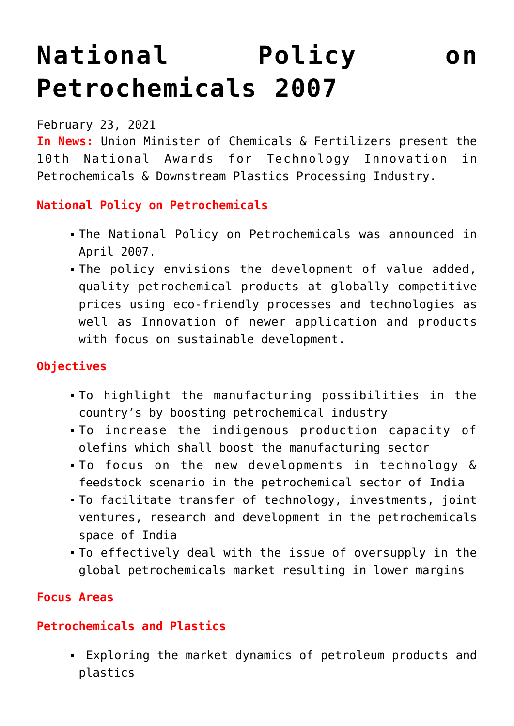# **[National Policy on](https://journalsofindia.com/national-policy-on-petrochemicals-2007/) [Petrochemicals 2007](https://journalsofindia.com/national-policy-on-petrochemicals-2007/)**

#### February 23, 2021

**In News:** Union Minister of Chemicals & Fertilizers present the 10th National Awards for Technology Innovation in Petrochemicals & Downstream Plastics Processing Industry.

## **National Policy on Petrochemicals**

- The National Policy on Petrochemicals was announced in April 2007.
- The policy envisions the development of value added, quality petrochemical products at globally competitive prices using eco-friendly processes and technologies as well as Innovation of newer application and products with focus on sustainable development.

## **Objectives**

- To highlight the manufacturing possibilities in the country's by boosting petrochemical industry
- To increase the indigenous production capacity of olefins which shall boost the manufacturing sector
- To focus on the new developments in technology & feedstock scenario in the petrochemical sector of India
- To facilitate transfer of technology, investments, joint ventures, research and development in the petrochemicals space of India
- To effectively deal with the issue of oversupply in the global petrochemicals market resulting in lower margins

#### **Focus Areas**

## **Petrochemicals and Plastics**

 Exploring the market dynamics of petroleum products and plastics